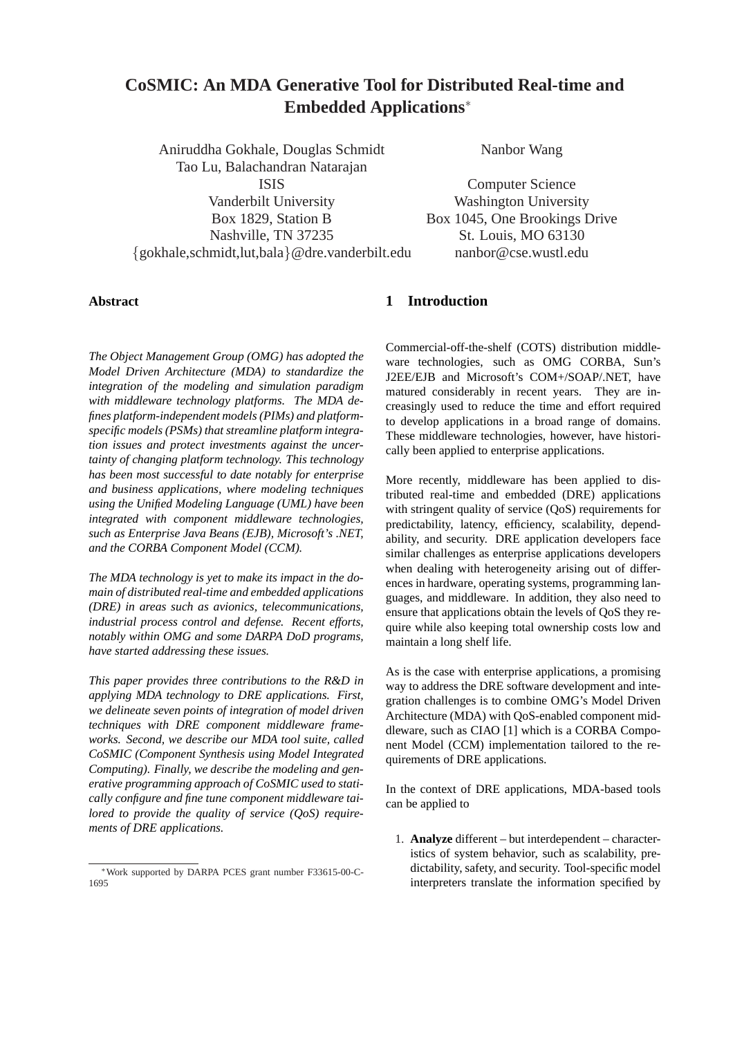# **CoSMIC: An MDA Generative Tool for Distributed Real-time and Embedded Applications**<sup>∗</sup>

Aniruddha Gokhale, Douglas Schmidt Nanbor Wang Tao Lu, Balachandran Natarajan ISIS Computer Science Vanderbilt University Washington University Nashville, TN 37235 St. Louis, MO 63130 {gokhale,schmidt,lut,bala}@dre.vanderbilt.edu nanbor@cse.wustl.edu

Box 1829, Station B Box 1045, One Brookings Drive

## **Abstract**

*The Object Management Group (OMG) has adopted the Model Driven Architecture (MDA) to standardize the integration of the modeling and simulation paradigm with middleware technology platforms. The MDA defines platform-independent models (PIMs) and platformspecific models (PSMs) that streamline platform integration issues and protect investments against the uncertainty of changing platform technology. This technology has been most successful to date notably for enterprise and business applications, where modeling techniques using the Unified Modeling Language (UML) have been integrated with component middleware technologies, such as Enterprise Java Beans (EJB), Microsoft's .NET, and the CORBA Component Model (CCM).*

*The MDA technology is yet to make its impact in the domain of distributed real-time and embedded applications (DRE) in areas such as avionics, telecommunications, industrial process control and defense. Recent efforts, notably within OMG and some DARPA DoD programs, have started addressing these issues.*

*This paper provides three contributions to the R&D in applying MDA technology to DRE applications. First, we delineate seven points of integration of model driven techniques with DRE component middleware frameworks. Second, we describe our MDA tool suite, called CoSMIC (Component Synthesis using Model Integrated Computing). Finally, we describe the modeling and generative programming approach of CoSMIC used to statically configure and fine tune component middleware tailored to provide the quality of service (QoS) requirements of DRE applications.*

## **1 Introduction**

Commercial-off-the-shelf (COTS) distribution middleware technologies, such as OMG CORBA, Sun's J2EE/EJB and Microsoft's COM+/SOAP/.NET, have matured considerably in recent years. They are increasingly used to reduce the time and effort required to develop applications in a broad range of domains. These middleware technologies, however, have historically been applied to enterprise applications.

More recently, middleware has been applied to distributed real-time and embedded (DRE) applications with stringent quality of service (QoS) requirements for predictability, latency, efficiency, scalability, dependability, and security. DRE application developers face similar challenges as enterprise applications developers when dealing with heterogeneity arising out of differences in hardware, operating systems, programming languages, and middleware. In addition, they also need to ensure that applications obtain the levels of QoS they require while also keeping total ownership costs low and maintain a long shelf life.

As is the case with enterprise applications, a promising way to address the DRE software development and integration challenges is to combine OMG's Model Driven Architecture (MDA) with QoS-enabled component middleware, such as CIAO [1] which is a CORBA Component Model (CCM) implementation tailored to the requirements of DRE applications.

In the context of DRE applications, MDA-based tools can be applied to

1. **Analyze** different – but interdependent – characteristics of system behavior, such as scalability, predictability, safety, and security. Tool-specific model interpreters translate the information specified by

<sup>∗</sup>Work supported by DARPA PCES grant number F33615-00-C-1695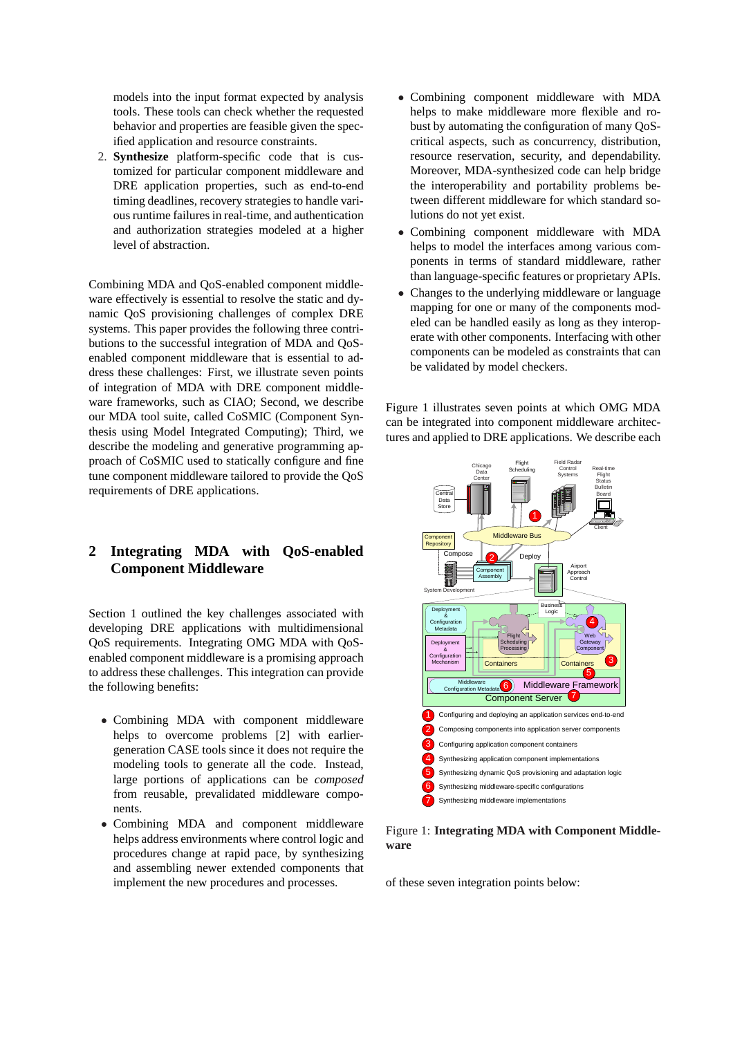models into the input format expected by analysis tools. These tools can check whether the requested behavior and properties are feasible given the specified application and resource constraints.

2. **Synthesize** platform-specific code that is customized for particular component middleware and DRE application properties, such as end-to-end timing deadlines, recovery strategies to handle various runtime failures in real-time, and authentication and authorization strategies modeled at a higher level of abstraction.

Combining MDA and QoS-enabled component middleware effectively is essential to resolve the static and dynamic QoS provisioning challenges of complex DRE systems. This paper provides the following three contributions to the successful integration of MDA and QoSenabled component middleware that is essential to address these challenges: First, we illustrate seven points of integration of MDA with DRE component middleware frameworks, such as CIAO; Second, we describe our MDA tool suite, called CoSMIC (Component Synthesis using Model Integrated Computing); Third, we describe the modeling and generative programming approach of CoSMIC used to statically configure and fine tune component middleware tailored to provide the QoS requirements of DRE applications.

## **2 Integrating MDA with QoS-enabled Component Middleware**

Section 1 outlined the key challenges associated with developing DRE applications with multidimensional QoS requirements. Integrating OMG MDA with QoSenabled component middleware is a promising approach to address these challenges. This integration can provide the following benefits:

- Combining MDA with component middleware helps to overcome problems [2] with earliergeneration CASE tools since it does not require the modeling tools to generate all the code. Instead, large portions of applications can be *composed* from reusable, prevalidated middleware components.
- Combining MDA and component middleware helps address environments where control logic and procedures change at rapid pace, by synthesizing and assembling newer extended components that implement the new procedures and processes.
- Combining component middleware with MDA helps to make middleware more flexible and robust by automating the configuration of many QoScritical aspects, such as concurrency, distribution, resource reservation, security, and dependability. Moreover, MDA-synthesized code can help bridge the interoperability and portability problems between different middleware for which standard solutions do not yet exist.
- Combining component middleware with MDA helps to model the interfaces among various components in terms of standard middleware, rather than language-specific features or proprietary APIs.
- Changes to the underlying middleware or language mapping for one or many of the components modeled can be handled easily as long as they interoperate with other components. Interfacing with other components can be modeled as constraints that can be validated by model checkers.

Figure 1 illustrates seven points at which OMG MDA can be integrated into component middleware architectures and applied to DRE applications. We describe each



Figure 1: **Integrating MDA with Component Middleware**

of these seven integration points below: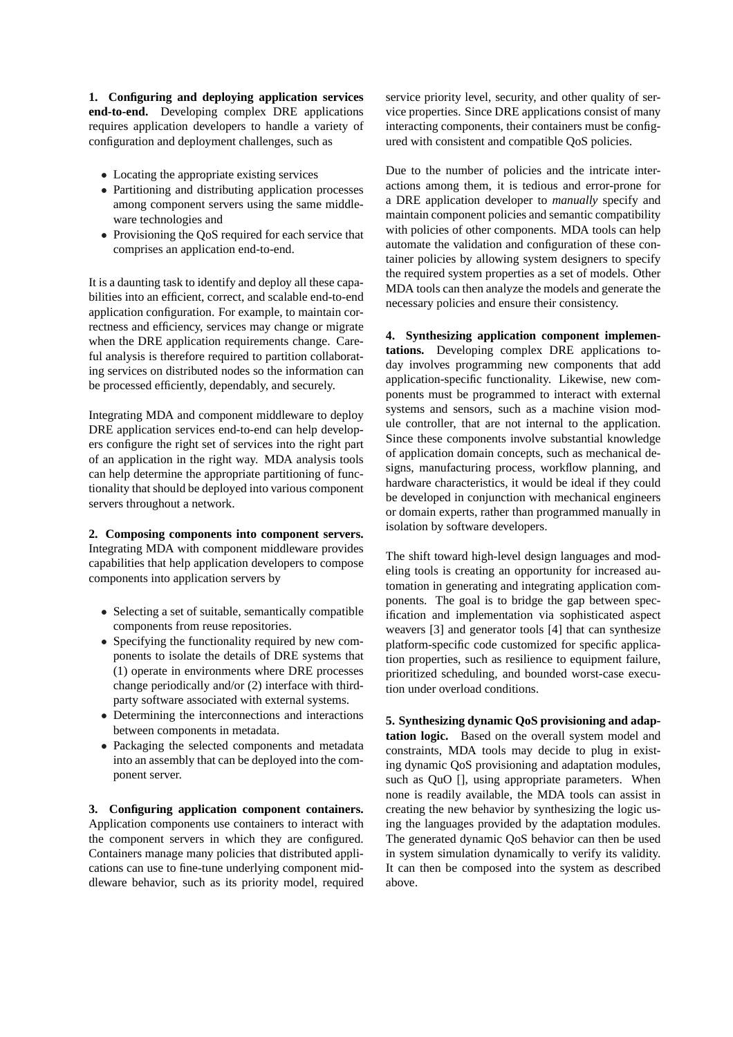**1. Configuring and deploying application services end-to-end.** Developing complex DRE applications requires application developers to handle a variety of configuration and deployment challenges, such as

- Locating the appropriate existing services
- Partitioning and distributing application processes among component servers using the same middleware technologies and
- Provisioning the QoS required for each service that comprises an application end-to-end.

It is a daunting task to identify and deploy all these capabilities into an efficient, correct, and scalable end-to-end application configuration. For example, to maintain correctness and efficiency, services may change or migrate when the DRE application requirements change. Careful analysis is therefore required to partition collaborating services on distributed nodes so the information can be processed efficiently, dependably, and securely.

Integrating MDA and component middleware to deploy DRE application services end-to-end can help developers configure the right set of services into the right part of an application in the right way. MDA analysis tools can help determine the appropriate partitioning of functionality that should be deployed into various component servers throughout a network.

**2. Composing components into component servers.** Integrating MDA with component middleware provides capabilities that help application developers to compose components into application servers by

- Selecting a set of suitable, semantically compatible components from reuse repositories.
- Specifying the functionality required by new components to isolate the details of DRE systems that (1) operate in environments where DRE processes change periodically and/or (2) interface with thirdparty software associated with external systems.
- Determining the interconnections and interactions between components in metadata.
- Packaging the selected components and metadata into an assembly that can be deployed into the component server.

**3. Configuring application component containers.** Application components use containers to interact with the component servers in which they are configured. Containers manage many policies that distributed applications can use to fine-tune underlying component middleware behavior, such as its priority model, required service priority level, security, and other quality of service properties. Since DRE applications consist of many interacting components, their containers must be configured with consistent and compatible QoS policies.

Due to the number of policies and the intricate interactions among them, it is tedious and error-prone for a DRE application developer to *manually* specify and maintain component policies and semantic compatibility with policies of other components. MDA tools can help automate the validation and configuration of these container policies by allowing system designers to specify the required system properties as a set of models. Other MDA tools can then analyze the models and generate the necessary policies and ensure their consistency.

**4. Synthesizing application component implementations.** Developing complex DRE applications today involves programming new components that add application-specific functionality. Likewise, new components must be programmed to interact with external systems and sensors, such as a machine vision module controller, that are not internal to the application. Since these components involve substantial knowledge of application domain concepts, such as mechanical designs, manufacturing process, workflow planning, and hardware characteristics, it would be ideal if they could be developed in conjunction with mechanical engineers or domain experts, rather than programmed manually in isolation by software developers.

The shift toward high-level design languages and modeling tools is creating an opportunity for increased automation in generating and integrating application components. The goal is to bridge the gap between specification and implementation via sophisticated aspect weavers [3] and generator tools [4] that can synthesize platform-specific code customized for specific application properties, such as resilience to equipment failure, prioritized scheduling, and bounded worst-case execution under overload conditions.

**5. Synthesizing dynamic QoS provisioning and adaptation logic.** Based on the overall system model and constraints, MDA tools may decide to plug in existing dynamic QoS provisioning and adaptation modules, such as QuO [], using appropriate parameters. When none is readily available, the MDA tools can assist in creating the new behavior by synthesizing the logic using the languages provided by the adaptation modules. The generated dynamic QoS behavior can then be used in system simulation dynamically to verify its validity. It can then be composed into the system as described above.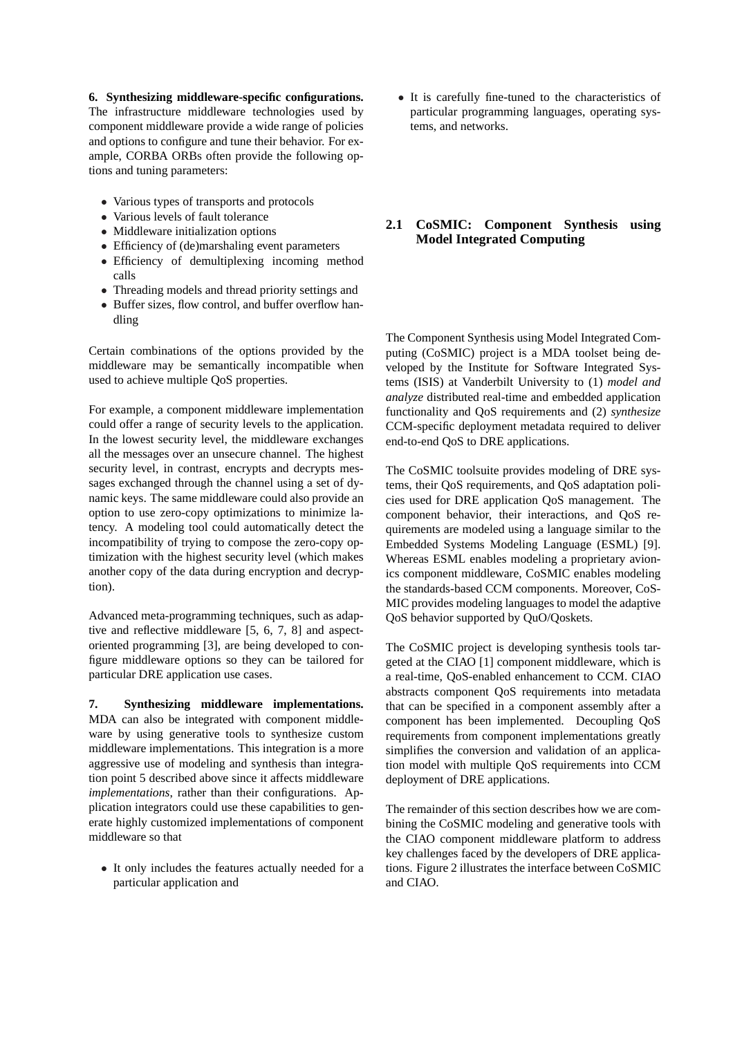**6. Synthesizing middleware-specific configurations.** The infrastructure middleware technologies used by component middleware provide a wide range of policies and options to configure and tune their behavior. For example, CORBA ORBs often provide the following options and tuning parameters:

- Various types of transports and protocols
- Various levels of fault tolerance
- Middleware initialization options
- Efficiency of (de)marshaling event parameters
- Efficiency of demultiplexing incoming method calls
- Threading models and thread priority settings and
- Buffer sizes, flow control, and buffer overflow handling

Certain combinations of the options provided by the middleware may be semantically incompatible when used to achieve multiple QoS properties.

For example, a component middleware implementation could offer a range of security levels to the application. In the lowest security level, the middleware exchanges all the messages over an unsecure channel. The highest security level, in contrast, encrypts and decrypts messages exchanged through the channel using a set of dynamic keys. The same middleware could also provide an option to use zero-copy optimizations to minimize latency. A modeling tool could automatically detect the incompatibility of trying to compose the zero-copy optimization with the highest security level (which makes another copy of the data during encryption and decryption).

Advanced meta-programming techniques, such as adaptive and reflective middleware [5, 6, 7, 8] and aspectoriented programming [3], are being developed to configure middleware options so they can be tailored for particular DRE application use cases.

**7. Synthesizing middleware implementations.** MDA can also be integrated with component middleware by using generative tools to synthesize custom middleware implementations. This integration is a more aggressive use of modeling and synthesis than integration point 5 described above since it affects middleware *implementations*, rather than their configurations. Application integrators could use these capabilities to generate highly customized implementations of component middleware so that

• It only includes the features actually needed for a particular application and

• It is carefully fine-tuned to the characteristics of particular programming languages, operating systems, and networks.

## **2.1 CoSMIC: Component Synthesis using Model Integrated Computing**

The Component Synthesis using Model Integrated Computing (CoSMIC) project is a MDA toolset being developed by the Institute for Software Integrated Systems (ISIS) at Vanderbilt University to (1) *model and analyze* distributed real-time and embedded application functionality and QoS requirements and (2) *synthesize* CCM-specific deployment metadata required to deliver end-to-end QoS to DRE applications.

The CoSMIC toolsuite provides modeling of DRE systems, their QoS requirements, and QoS adaptation policies used for DRE application QoS management. The component behavior, their interactions, and QoS requirements are modeled using a language similar to the Embedded Systems Modeling Language (ESML) [9]. Whereas ESML enables modeling a proprietary avionics component middleware, CoSMIC enables modeling the standards-based CCM components. Moreover, CoS-MIC provides modeling languages to model the adaptive QoS behavior supported by QuO/Qoskets.

The CoSMIC project is developing synthesis tools targeted at the CIAO [1] component middleware, which is a real-time, QoS-enabled enhancement to CCM. CIAO abstracts component QoS requirements into metadata that can be specified in a component assembly after a component has been implemented. Decoupling QoS requirements from component implementations greatly simplifies the conversion and validation of an application model with multiple QoS requirements into CCM deployment of DRE applications.

The remainder of this section describes how we are combining the CoSMIC modeling and generative tools with the CIAO component middleware platform to address key challenges faced by the developers of DRE applications. Figure 2 illustrates the interface between CoSMIC and CIAO.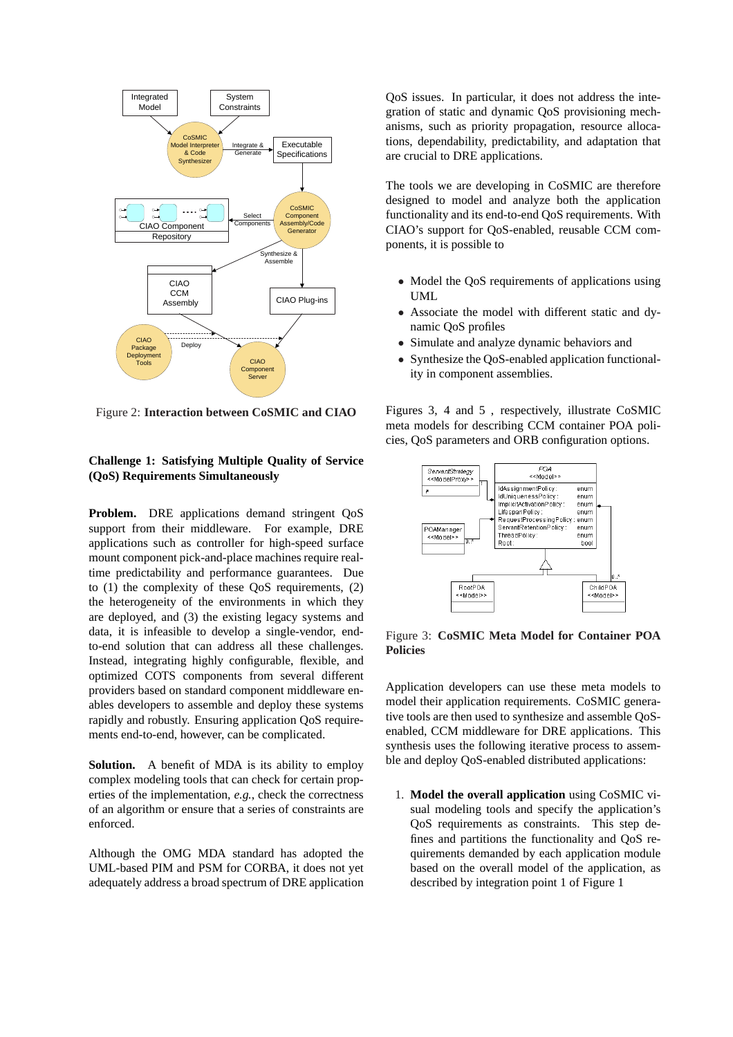

Figure 2: **Interaction between CoSMIC and CIAO**

#### **Challenge 1: Satisfying Multiple Quality of Service (QoS) Requirements Simultaneously**

**Problem.** DRE applications demand stringent QoS support from their middleware. For example, DRE applications such as controller for high-speed surface mount component pick-and-place machines require realtime predictability and performance guarantees. Due to (1) the complexity of these QoS requirements, (2) the heterogeneity of the environments in which they are deployed, and (3) the existing legacy systems and data, it is infeasible to develop a single-vendor, endto-end solution that can address all these challenges. Instead, integrating highly configurable, flexible, and optimized COTS components from several different providers based on standard component middleware enables developers to assemble and deploy these systems rapidly and robustly. Ensuring application QoS requirements end-to-end, however, can be complicated.

**Solution.** A benefit of MDA is its ability to employ complex modeling tools that can check for certain properties of the implementation, *e.g.*, check the correctness of an algorithm or ensure that a series of constraints are enforced.

Although the OMG MDA standard has adopted the UML-based PIM and PSM for CORBA, it does not yet adequately address a broad spectrum of DRE application QoS issues. In particular, it does not address the integration of static and dynamic QoS provisioning mechanisms, such as priority propagation, resource allocations, dependability, predictability, and adaptation that are crucial to DRE applications.

The tools we are developing in CoSMIC are therefore designed to model and analyze both the application functionality and its end-to-end QoS requirements. With CIAO's support for QoS-enabled, reusable CCM components, it is possible to

- Model the QoS requirements of applications using UML
- Associate the model with different static and dynamic QoS profiles
- Simulate and analyze dynamic behaviors and
- Synthesize the QoS-enabled application functionality in component assemblies.

Figures 3, 4 and 5 , respectively, illustrate CoSMIC meta models for describing CCM container POA policies, QoS parameters and ORB configuration options.



Figure 3: **CoSMIC Meta Model for Container POA Policies**

Application developers can use these meta models to model their application requirements. CoSMIC generative tools are then used to synthesize and assemble QoSenabled, CCM middleware for DRE applications. This synthesis uses the following iterative process to assemble and deploy QoS-enabled distributed applications:

1. **Model the overall application** using CoSMIC visual modeling tools and specify the application's QoS requirements as constraints. This step defines and partitions the functionality and QoS requirements demanded by each application module based on the overall model of the application, as described by integration point 1 of Figure 1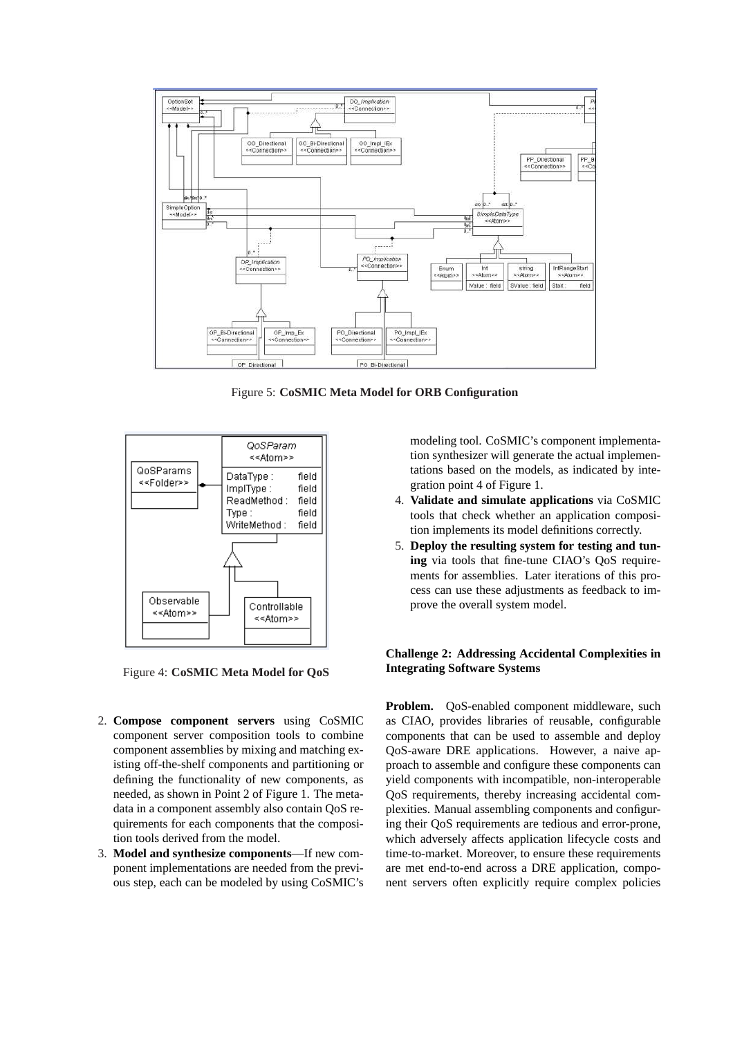

Figure 5: **CoSMIC Meta Model for ORB Configuration**



Figure 4: **CoSMIC Meta Model for QoS**

- 2. **Compose component servers** using CoSMIC component server composition tools to combine component assemblies by mixing and matching existing off-the-shelf components and partitioning or defining the functionality of new components, as needed, as shown in Point 2 of Figure 1. The metadata in a component assembly also contain QoS requirements for each components that the composition tools derived from the model.
- 3. **Model and synthesize components**—If new component implementations are needed from the previous step, each can be modeled by using CoSMIC's

modeling tool. CoSMIC's component implementation synthesizer will generate the actual implementations based on the models, as indicated by integration point 4 of Figure 1.

- 4. **Validate and simulate applications** via CoSMIC tools that check whether an application composition implements its model definitions correctly.
- 5. **Deploy the resulting system for testing and tuning** via tools that fine-tune CIAO's OoS requirements for assemblies. Later iterations of this process can use these adjustments as feedback to improve the overall system model.

## **Challenge 2: Addressing Accidental Complexities in Integrating Software Systems**

**Problem.** QoS-enabled component middleware, such as CIAO, provides libraries of reusable, configurable components that can be used to assemble and deploy QoS-aware DRE applications. However, a naive approach to assemble and configure these components can yield components with incompatible, non-interoperable QoS requirements, thereby increasing accidental complexities. Manual assembling components and configuring their QoS requirements are tedious and error-prone, which adversely affects application lifecycle costs and time-to-market. Moreover, to ensure these requirements are met end-to-end across a DRE application, component servers often explicitly require complex policies